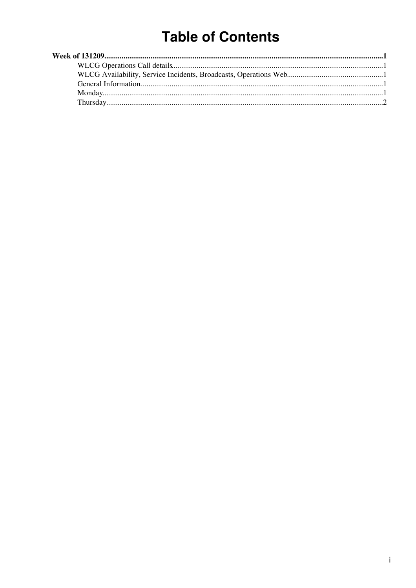# **Table of Contents**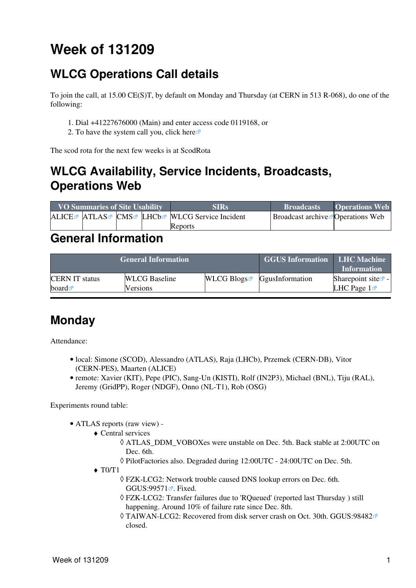# <span id="page-1-0"></span>**Week of 131209**

## <span id="page-1-1"></span>**WLCG Operations Call details**

To join the call, at 15.00 CE(S)T, by default on Monday and Thursday (at CERN in 513 R-068), do one of the following:

- 1. Dial +41227676000 (Main) and enter access code 0119168, or
- 2. To have the system call you, click [here](https://audioconf.cern.ch/call/0119168)

The scod rota for the next few weeks is at [ScodRota](https://twiki.cern.ch/twiki/bin/view/LCG/ScodRota)

## <span id="page-1-2"></span>**WLCG Availability, Service Incidents, Broadcasts, Operations Web**

| <b>VO Summaries of Site Usability</b> |  |  | <b>SIRs</b>                                    | <b>Broadcasts</b>                                | <b>Operations Web</b> |
|---------------------------------------|--|--|------------------------------------------------|--------------------------------------------------|-----------------------|
|                                       |  |  | ALICE™ ATLAS™ CMS™ LHCb™ WLCG Service Incident | <b>Broadcast archive <i>P</i> Operations</b> Web |                       |
|                                       |  |  | Reports                                        |                                                  |                       |

#### <span id="page-1-3"></span>**General Information**

|                       | <b>General Information</b> | <b>GGUS Information LHC Machine</b> | <b>Information</b>                        |                                        |
|-----------------------|----------------------------|-------------------------------------|-------------------------------------------|----------------------------------------|
| <b>CERN IT status</b> | <b>WLCG</b> Baseline       |                                     | $WLCG$ Blogs <sup>R</sup> GgusInformation | Sharepoint site $\mathbb{Z}$ -         |
| board $\blacksquare$  | <b>Versions</b>            |                                     |                                           | <b>LHC</b> Page $1\blacktriangleright$ |

### <span id="page-1-4"></span>**Monday**

Attendance:

- local: Simone (SCOD), Alessandro (ATLAS), Raja (LHCb), Przemek (CERN-DB), Vitor (CERN-PES), Maarten (ALICE)
- remote: Xavier (KIT), Pepe (PIC), Sang-Un (KISTI), Rolf [\(IN2P3\)](https://twiki.cern.ch/twiki/bin/view/LCG/IN2P3), Michael (BNL), Tiju [\(RAL](https://twiki.cern.ch/twiki/bin/view/LCG/RAL)), Jeremy [\(GridPP\)](https://twiki.cern.ch/twiki/bin/view/LCG/GridPP), Roger (NDGF), Onno (NL-T1), Rob (OSG)

Experiments round table:

- ATLAS [reports](https://twiki.cern.ch/twiki/bin/view/Atlas/ADCOperationsDailyReports2013) [\(raw view\)](https://twiki.cern.ch/twiki/bin/view/Atlas/ADCOperationsDailyReports2013?raw=on) •
	- Central services ♦
		- ATLAS\_DDM\_VOBOXes were unstable on Dec. 5th. Back stable at 2:00UTC on ◊ Dec. 6th.
		- ◊ [PilotFactories](https://twiki.cern.ch/twiki/bin/edit/LCG/PilotFactories?topicparent=LCG.WLCGDailyMeetingsWeek131209;nowysiwyg=1) also. Degraded during 12:00UTC 24:00UTC on Dec. 5th.
	- $\blacklozenge$  T0/T1
		- FZK-LCG2: Network trouble caused DNS lookup errors on Dec. 6th. ◊ GGUS:  $99571$   $\blacksquare$  Fixed.
		- FZK-LCG2: Transfer failures due to 'RQueued' (reported last Thursday ) still ◊ happening. Around 10% of failure rate since Dec. 8th.
		- TAIWAN-LCG2: Recovered from disk server crash on Oct. 30th. [GGUS:98482](https://ggus.eu/ws/ticket_info.php?ticket=98482) ◊ closed.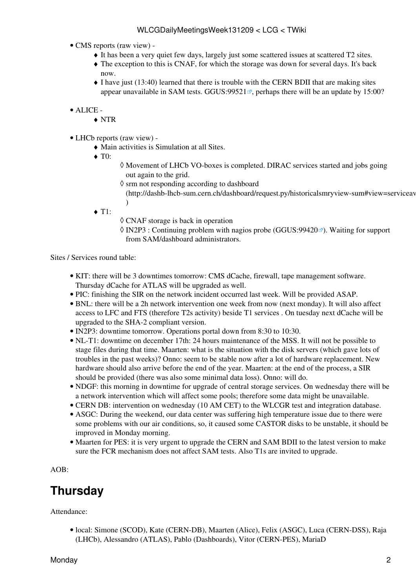- CMS [reports](https://twiki.cern.ch/twiki/bin/view/CMS/FacOps_WLCGdailyreports) ([raw view\)](https://twiki.cern.ch/twiki/bin/view/CMS/FacOps_WLCGdailyreports?raw=on) •
	- ♦ It has been a very quiet few days, largely just some scattered issues at scattered T2 sites.
	- The exception to this is CNAF, for which the storage was down for several days. It's back ♦ now.
	- I have just (13:40) learned that there is trouble with the CERN BDII that are making sites ♦ appear unavailable in SAM tests. GGUS:  $99521$ <sup> $\alpha$ </sup>, perhaps there will be an update by 15:00?
- ALICE •
	- ♦ NTR
- LHCb [reports](https://twiki.cern.ch/twiki/bin/view/LHCb/ProductionOperationsWLCGdailyReports) [\(raw view\)](https://twiki.cern.ch/twiki/bin/view/LHCb/ProductionOperationsWLCGdailyReports?raw=on) •
	- ♦ Main activities is Simulation at all Sites.
	- ◆ T<sub>0</sub>:
- Movement of LHCb VO-boxes is completed. DIRAC services started and jobs going ◊ out again to the grid.
- ◊ srm not responding according to dashboard
	- (http://dashb-lhcb-sum.cern.ch/dashboard/request.py/historicalsmryview-sum#view=serviceav )
- $\triangleleft$  T1:
- ◊ CNAF storage is back in operation
- ◊ [IN2P3](https://twiki.cern.ch/twiki/bin/view/LCG/IN2P3) : Continuing problem with nagios probe [\(GGUS:99420](https://ggus.eu/ws/ticket_info.php?ticket=99420)☞). Waiting for support from SAM/dashboard administrators.

Sites / Services round table:

- KIT: there will be 3 downtimes tomorrow: CMS dCache, firewall, tape management software. Thursday dCache for ATLAS will be upgraded as well.
- PIC: finishing the SIR on the network incident occurred last week. Will be provided ASAP.
- BNL: there will be a 2h network intervention one week from now (next monday). It will also affect access to LFC and FTS (therefore T2s activity) beside T1 services . On tuesday next dCache will be upgraded to the SHA-2 compliant version.
- [IN2P3:](https://twiki.cern.ch/twiki/bin/view/LCG/IN2P3) downtime tomorrow. Operations portal down from 8:30 to 10:30.
- NL-T1: downtime on december 17th: 24 hours maintenance of the MSS. It will not be possible to stage files during that time. Maarten: what is the situation with the disk servers (which gave lots of troubles in the past weeks)? Onno: seem to be stable now after a lot of hardware replacement. New hardware should also arrive before the end of the year. Maarten: at the end of the process, a SIR should be provided (there was also some minimal data loss). Onno: will do.
- NDGF: this morning in downtime for upgrade of central storage services. On wednesday there will be a network intervention which will affect some pools; therefore some data might be unavailable.
- CERN DB: intervention on wednesday (10 AM CET) to the WLCGR test and integration database.
- ASGC: During the weekend, our data center was suffering high temperature issue due to there were some problems with our air conditions, so, it caused some CASTOR disks to be unstable, it should be improved in Monday morning.
- Maarten for PES: it is very urgent to upgrade the CERN and SAM BDII to the latest version to make sure the FCR mechanism does not affect SAM tests. Also T1s are invited to upgrade.

AOB:

### <span id="page-2-0"></span>**Thursday**

Attendance:

• local: Simone (SCOD), Kate (CERN-DB), Maarten (Alice), Felix (ASGC), Luca (CERN-DSS), Raja (LHCb), Alessandro (ATLAS), Pablo (Dashboards), Vitor (CERN-PES), MariaD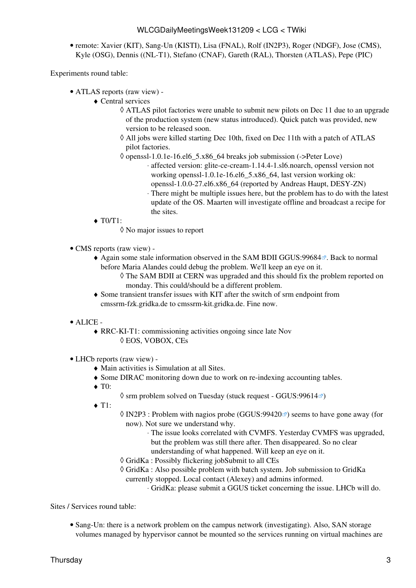remote: Xavier (KIT), Sang-Un (KISTI), Lisa (FNAL), Rolf [\(IN2P3\)](https://twiki.cern.ch/twiki/bin/view/LCG/IN2P3), Roger (NDGF), Jose (CMS), • Kyle (OSG), Dennis ((NL-T1), Stefano (CNAF), Gareth ([RAL\)](https://twiki.cern.ch/twiki/bin/view/LCG/RAL), Thorsten (ATLAS), Pepe (PIC)

Experiments round table:

- ATLAS [reports](https://twiki.cern.ch/twiki/bin/view/Atlas/ADCOperationsDailyReports2013) [\(raw view\)](https://twiki.cern.ch/twiki/bin/view/Atlas/ADCOperationsDailyReports2013?raw=on) •
	- Central services ♦
		- ATLAS pilot factories were unable to submit new pilots on Dec 11 due to an upgrade ◊ of the production system (new status introduced). Quick patch was provided, new version to be released soon.
		- All jobs were killed starting Dec 10th, fixed on Dec 11th with a patch of ATLAS ◊ pilot factories.
		- ◊ openssl-1.0.1e-16.el6\_5.x86\_64 breaks job submission (->Peter Love)
			- affected version: glite-ce-cream-1.14.4-1.sl6.noarch, openssl version not ⋅ working openssl-1.0.1e-16.el6 5.x86 64, last version working ok:
				- openssl-1.0.0-27.el6.x86\_64 (reported by Andreas Haupt, DESY-ZN) There might be multiple issues here, but the problem has to do with the latest ⋅ update of the OS. Maarten will investigate offline and broadcast a recipe for the sites.
	- $\blacklozenge$  T0/T1:
		- ◊ No major issues to report
- CMS [reports](https://twiki.cern.ch/twiki/bin/view/CMS/FacOps_WLCGdailyreports) ([raw view\)](https://twiki.cern.ch/twiki/bin/view/CMS/FacOps_WLCGdailyreports?raw=on) -
	- $\blacklozenge$  Again some stale information observed in the SAM BDII [GGUS:99684](https://ggus.eu/ws/ticket_info.php?ticket=99684) $\blacktriangleleft$ . Back to normal before Maria Alandes could debug the problem. We'll keep an eye on it.
		- The SAM BDII at CERN was upgraded and this should fix the problem reported on ◊ monday. This could/should be a different problem.
	- Some transient transfer issues with KIT after the switch of srm endpoint from ♦ cmssrm-fzk.gridka.de to cmssrm-kit.gridka.de. Fine now.
- ALICE •
	- RRC-KI-T1: commissioning activities ongoing since late Nov ♦ ◊ EOS, VOBOX, CEs
- LHCb [reports](https://twiki.cern.ch/twiki/bin/view/LHCb/ProductionOperationsWLCGdailyReports) [\(raw view\)](https://twiki.cern.ch/twiki/bin/view/LHCb/ProductionOperationsWLCGdailyReports?raw=on) •
	- ♦ Main activities is Simulation at all Sites.
	- ♦ Some DIRAC monitoring down due to work on re-indexing accounting tables.
	- ◆ T<sub>0</sub>:
- $\Diamond$  srm problem solved on Tuesday (stuck request - [GGUS:99614](https://ggus.eu/ws/ticket_info.php?ticket=99614) $\mathbb{Z}$ )
- $\triangleleft$  T1:
- $\Diamond$  [IN2P3](https://twiki.cern.ch/twiki/bin/view/LCG/IN2P3) : Problem with nagios probe [\(GGUS:99420](https://ggus.eu/ws/ticket_info.php?ticket=99420) $\textcircled{r}$ ) seems to have gone away (for now). Not sure we understand why.
	- The issue looks correlated with CVMFS. Yesterday CVMFS was upgraded, ⋅ but the problem was still there after. Then disappeared. So no clear understanding of what happened. Will keep an eye on it.
	-
- ◊ [GridKa](https://twiki.cern.ch/twiki/bin/view/LCG/GridKa) : Possibly flickering jobSubmit to all CEs
- [GridKa](https://twiki.cern.ch/twiki/bin/view/LCG/GridKa) : Also possible problem with batch system. Job submission to [GridKa](https://twiki.cern.ch/twiki/bin/view/LCG/GridKa) ◊ currently stopped. Local contact (Alexey) and admins informed.
	- ⋅ [GridKa:](https://twiki.cern.ch/twiki/bin/view/LCG/GridKa) please submit a GGUS ticket concerning the issue. LHCb will do.

Sites / Services round table:

Sang-Un: there is a network problem on the campus network (investigating). Also, SAN storage • volumes managed by hypervisor cannot be mounted so the services running on virtual machines are